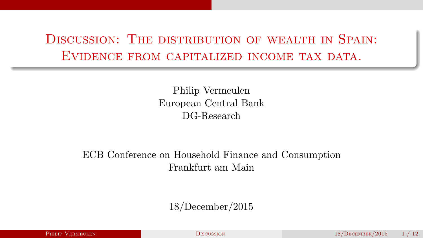# <span id="page-0-0"></span>DISCUSSION: THE DISTRIBUTION OF WEALTH IN SPAIN: EVIDENCE FROM CAPITALIZED INCOME TAX DATA.

Philip Vermeulen European Central Bank DG-Research

## ECB Conference on Household Finance and Consumption Frankfurt am Main

### 18/December/2015

|  |  |  |  | <b>PHILIP VERMEULEN</b> |  |
|--|--|--|--|-------------------------|--|
|  |  |  |  |                         |  |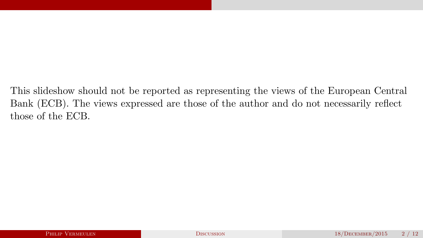This slideshow should not be reported as representing the views of the European Central Bank (ECB). The views expressed are those of the author and do not necessarily reflect those of the ECB.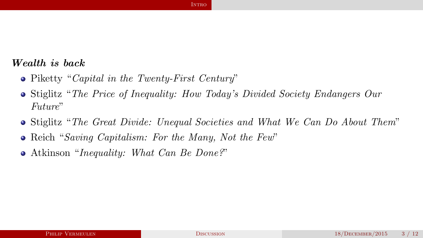### <span id="page-2-0"></span>Wealth is back

- Piketty "*Capital in the Twenty-First Century*"
- Stiglitz "*The Price of Inequality: How Today's Divided Society Endangers Our Future*"

- Stiglitz "*The Great Divide: Unequal Societies and What We Can Do About Them*"
- Reich "*Saving Capitalism: For the Many, Not the Few*"  $\bullet$
- Atkinson "*Inequality: What Can Be Done?*"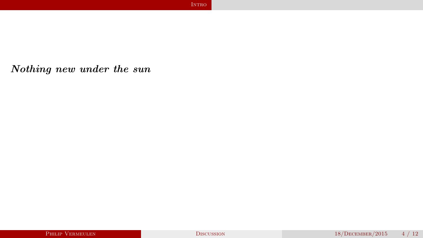<span id="page-3-0"></span>Nothing new under the sun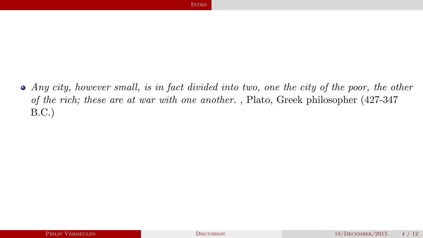<span id="page-4-0"></span>*Any city, however small, is in fact divided into two, one the city of the poor, the other of the rich; these are at war with one another.* , Plato, Greek philosopher (427-347 B.C.)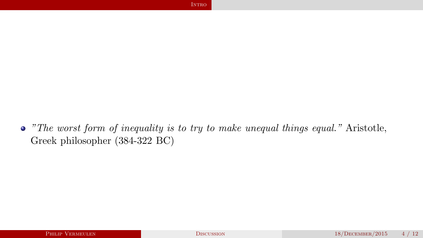<span id="page-5-0"></span>*"The worst form of inequality is to try to make unequal things equal."* Aristotle, Greek philosopher (384-322 BC)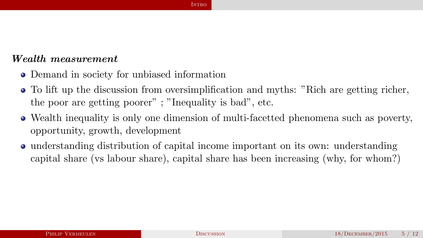### <span id="page-6-0"></span>Wealth measurement

- Demand in society for unbiased information
- To lift up the discussion from oversimplification and myths: "Rich are getting richer,  $\bullet$ the poor are getting poorer" ; "Inequality is bad", etc.
- Wealth inequality is only one dimension of multi-facetted phenomena such as poverty, opportunity, growth, development
- understanding distribution of capital income important on its own: understanding capital share (vs labour share), capital share has been increasing (why, for whom?)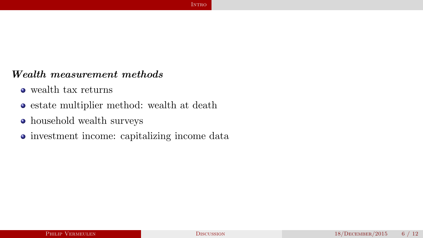### <span id="page-7-0"></span>Wealth measurement methods

- wealth tax returns
- estate multiplier method: wealth at death
- household wealth surveys
- investment income: capitalizing income data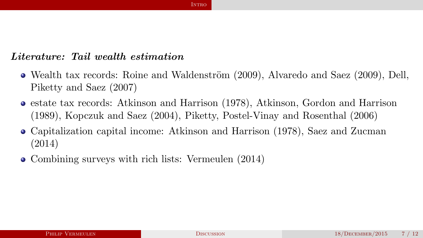### <span id="page-8-0"></span>Literature: Tail wealth estimation

- $\bullet$  Wealth tax records: Roine and Waldenström (2009), Alvaredo and Saez (2009), Dell, Piketty and Saez (2007)
- $\bullet$  estate tax records: Atkinson and Harrison (1978), Atkinson, Gordon and Harrison (1989), Kopczuk and Saez (2004), Piketty, Postel-Vinay and Rosenthal (2006)
- Capitalization capital income: Atkinson and Harrison (1978), Saez and Zucman (2014)
- Combining surveys with rich lists: Vermeulen (2014)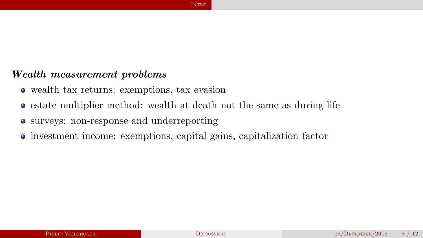### <span id="page-9-0"></span>Wealth measurement problems

- wealth tax returns: exemptions, tax evasion
- estate multiplier method: wealth at death not the same as during life

- surveys: non-response and underreporting
- investment income: exemptions, capital gains, capitalization factor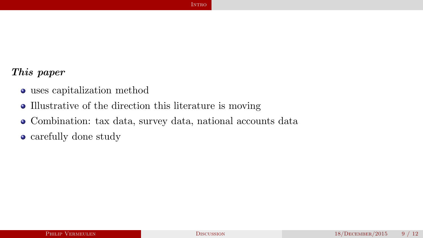### <span id="page-10-0"></span>This paper

- uses capitalization method
- Illustrative of the direction this literature is moving
- Combination: tax data, survey data, national accounts data
- carefully done study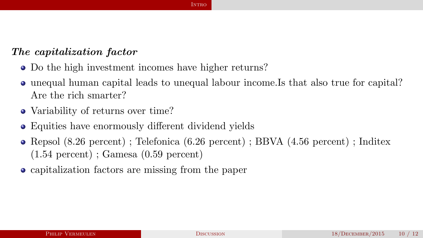### <span id="page-11-0"></span>The capitalization factor

- Do the high investment incomes have higher returns?
- unequal human capital leads to unequal labour income.Is that also true for capital? Are the rich smarter?
- Variability of returns over time?
- Equities have enormously different dividend yields
- Repsol (8.26 percent) ; Telefonica (6.26 percent) ; BBVA (4.56 percent) ; Inditex (1.54 percent) ; Gamesa (0.59 percent)
- capitalization factors are missing from the paper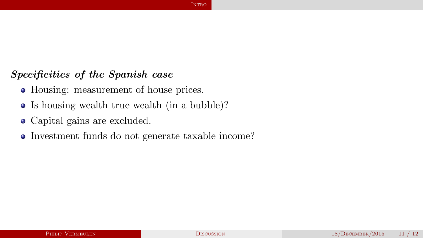### <span id="page-12-0"></span>Specificities of the Spanish case

- Housing: measurement of house prices.
- Is housing wealth true wealth (in a bubble)?
- Capital gains are excluded.
- Investment funds do not generate taxable income?